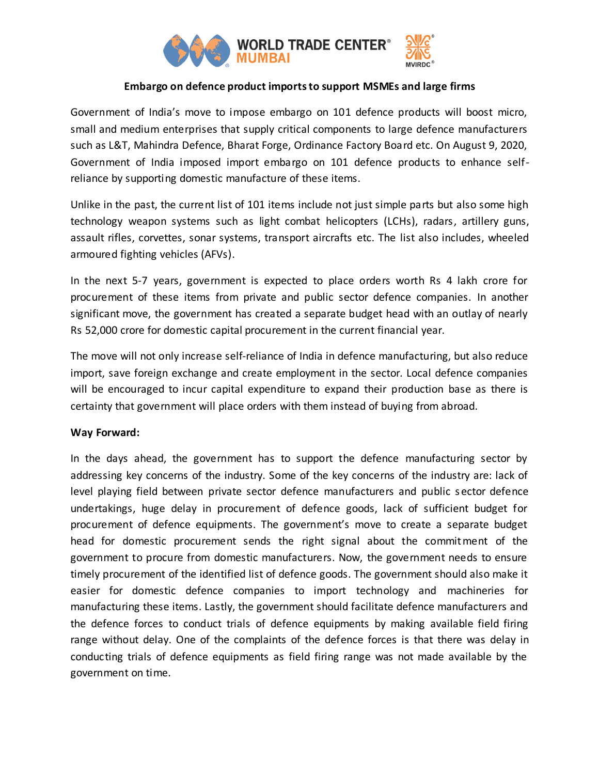

# **Embargo on defence product imports to support MSMEs and large firms**

Government of India's move to impose embargo on 101 defence products will boost micro, small and medium enterprises that supply critical components to large defence manufacturers such as L&T, Mahindra Defence, Bharat Forge, Ordinance Factory Board etc. On August 9, 2020, Government of India imposed import embargo on 101 defence products to enhance selfreliance by supporting domestic manufacture of these items.

Unlike in the past, the current list of 101 items include not just simple parts but also some high technology weapon systems such as light combat helicopters (LCHs), radars, artillery guns, assault rifles, corvettes, sonar systems, transport aircrafts etc. The list also includes, wheeled armoured fighting vehicles (AFVs).

In the next 5-7 years, government is expected to place orders worth Rs 4 lakh crore for procurement of these items from private and public sector defence companies. In another significant move, the government has created a separate budget head with an outlay of nearly Rs 52,000 crore for domestic capital procurement in the current financial year.

The move will not only increase self-reliance of India in defence manufacturing, but also reduce import, save foreign exchange and create employment in the sector. Local defence companies will be encouraged to incur capital expenditure to expand their production base as there is certainty that government will place orders with them instead of buying from abroad.

## **Way Forward:**

In the days ahead, the government has to support the defence manufacturing sector by addressing key concerns of the industry. Some of the key concerns of the industry are: lack of level playing field between private sector defence manufacturers and public s ector defence undertakings, huge delay in procurement of defence goods, lack of sufficient budget for procurement of defence equipments. The government's move to create a separate budget head for domestic procurement sends the right signal about the commitment of the government to procure from domestic manufacturers. Now, the government needs to ensure timely procurement of the identified list of defence goods. The government should also make it easier for domestic defence companies to import technology and machineries for manufacturing these items. Lastly, the government should facilitate defence manufacturers and the defence forces to conduct trials of defence equipments by making available field firing range without delay. One of the complaints of the defence forces is that there was delay in conducting trials of defence equipments as field firing range was not made available by the government on time.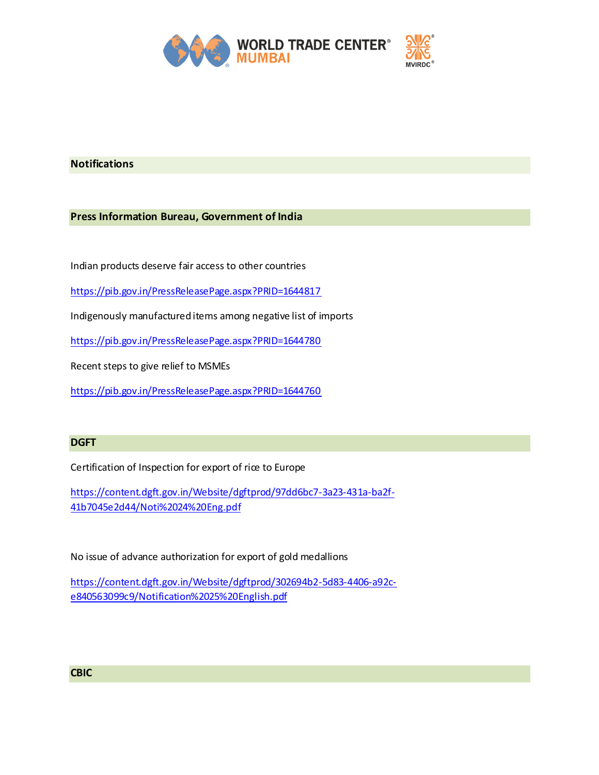

## **Notifications**

### **Press Information Bureau, Government of India**

Indian products deserve fair access to other countries

<https://pib.gov.in/PressReleasePage.aspx?PRID=1644817>

Indigenously manufactured items among negative list of imports

<https://pib.gov.in/PressReleasePage.aspx?PRID=1644780>

Recent steps to give relief to MSMEs

<https://pib.gov.in/PressReleasePage.aspx?PRID=1644760>

#### **DGFT**

Certification of Inspection for export of rice to Europe

[https://content.dgft.gov.in/Website/dgftprod/97dd6bc7-3a23-431a-ba2f-](https://content.dgft.gov.in/Website/dgftprod/97dd6bc7-3a23-431a-ba2f-41b7045e2d44/Noti%2024%20Eng.pdf)[41b7045e2d44/Noti%2024%20Eng.pdf](https://content.dgft.gov.in/Website/dgftprod/97dd6bc7-3a23-431a-ba2f-41b7045e2d44/Noti%2024%20Eng.pdf)

No issue of advance authorization for export of gold medallions

[https://content.dgft.gov.in/Website/dgftprod/302694b2-5d83-4406-a92c](https://content.dgft.gov.in/Website/dgftprod/302694b2-5d83-4406-a92c-e840563099c9/Notification%2025%20English.pdf)[e840563099c9/Notification%2025%20English.pdf](https://content.dgft.gov.in/Website/dgftprod/302694b2-5d83-4406-a92c-e840563099c9/Notification%2025%20English.pdf)